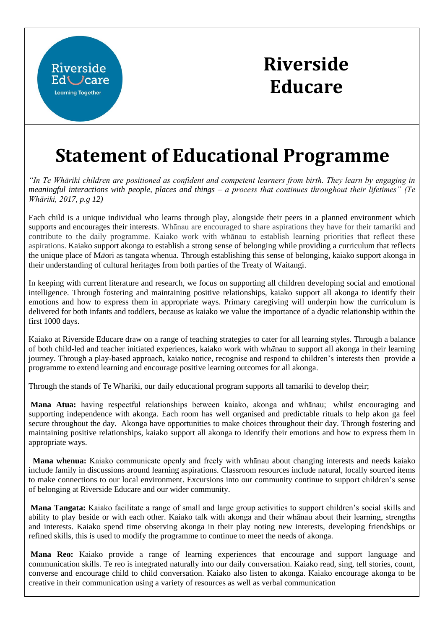

## **Riverside Educare**

## **Statement of Educational Programme**

*"In Te Whāriki children are positioned as confident and competent learners from birth. They learn by engaging in meaningful interactions with people, places and things – a process that continues throughout their lifetimes" (Te Whāriki, 2017, p.g 12)*

Each child is a unique individual who learns through play, alongside their peers in a planned environment which supports and encourages their interests. Whānau are encouraged to share aspirations they have for their tamariki and contribute to the daily programme. Kaiako work with whānau to establish learning priorities that reflect these aspirations. Kaiako support akonga to establish a strong sense of belonging while providing a curriculum that reflects the unique place of M*ā*ori as tangata whenua. Through establishing this sense of belonging, kaiako support akonga in their understanding of cultural heritages from both parties of the Treaty of Waitangi.

In keeping with current literature and research, we focus on supporting all children developing social and emotional intelligence. Through fostering and maintaining positive relationships, kaiako support all akonga to identify their emotions and how to express them in appropriate ways. Primary caregiving will underpin how the curriculum is delivered for both infants and toddlers, because as kaiako we value the importance of a dyadic relationship within the first 1000 days.

Kaiako at Riverside Educare draw on a range of teaching strategies to cater for all learning styles. Through a balance of both child-led and teacher initiated experiences, kaiako work with wh*ā*nau to support all akonga in their learning journey. Through a play-based approach, kaiako notice, recognise and respond to children's interests then provide a programme to extend learning and encourage positive learning outcomes for all akonga.

Through the stands of Te Whariki, our daily educational program supports all tamariki to develop their;

**Mana Atua:** having respectful relationships between kaiako, akonga and whānau; whilst encouraging and supporting independence with akonga. Each room has well organised and predictable rituals to help akon ga feel secure throughout the day. Akonga have opportunities to make choices throughout their day. Through fostering and maintaining positive relationships, kaiako support all akonga to identify their emotions and how to express them in appropriate ways.

**Mana whenua:** Kaiako communicate openly and freely with whānau about changing interests and needs kaiako include family in discussions around learning aspirations. Classroom resources include natural, locally sourced items to make connections to our local environment. Excursions into our community continue to support children's sense of belonging at Riverside Educare and our wider community.

**Mana Tangata:** Kaiako facilitate a range of small and large group activities to support children's social skills and ability to play beside or with each other. Kaiako talk with akonga and their whānau about their learning, strengths and interests. Kaiako spend time observing akonga in their play noting new interests, developing friendships or refined skills, this is used to modify the programme to continue to meet the needs of akonga.

**Mana Reo:** Kaiako provide a range of learning experiences that encourage and support language and communication skills. Te reo is integrated naturally into our daily conversation. Kaiako read, sing, tell stories, count, converse and encourage child to child conversation. Kaiako also listen to akonga. Kaiako encourage akonga to be creative in their communication using a variety of resources as well as verbal communication